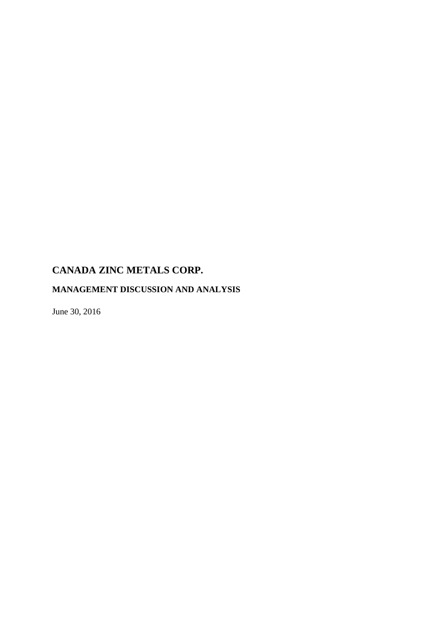# **MANAGEMENT DISCUSSION AND ANALYSIS**

June 30, 2016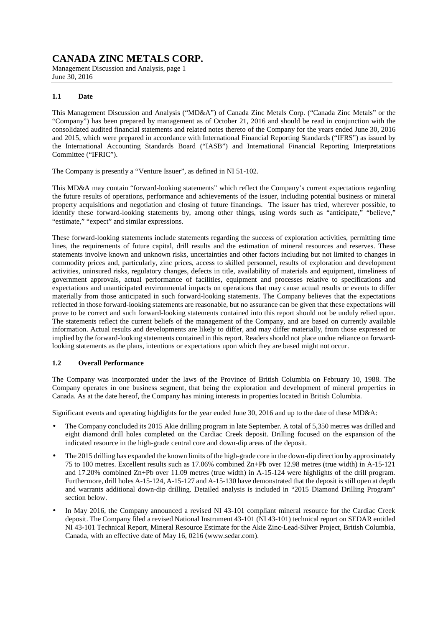Management Discussion and Analysis, page 1 June 30, 2016

### **1.1 Date**

This Management Discussion and Analysis ("MD&A") of Canada Zinc Metals Corp. ("Canada Zinc Metals" or the "Company") has been prepared by management as of October 21, 2016 and should be read in conjunction with the consolidated audited financial statements and related notes thereto of the Company for the years ended June 30, 2016 and 2015, which were prepared in accordance with International Financial Reporting Standards ("IFRS") as issued by the International Accounting Standards Board ("IASB") and International Financial Reporting Interpretations Committee ("IFRIC").

The Company is presently a "Venture Issuer", as defined in NI 51-102.

This MD&A may contain "forward-looking statements" which reflect the Company's current expectations regarding the future results of operations, performance and achievements of the issuer, including potential business or mineral property acquisitions and negotiation and closing of future financings. The issuer has tried, wherever possible, to identify these forward-looking statements by, among other things, using words such as "anticipate," "believe," "estimate," "expect" and similar expressions.

These forward-looking statements include statements regarding the success of exploration activities, permitting time lines, the requirements of future capital, drill results and the estimation of mineral resources and reserves. These statements involve known and unknown risks, uncertainties and other factors including but not limited to changes in commodity prices and, particularly, zinc prices, access to skilled personnel, results of exploration and development activities, uninsured risks, regulatory changes, defects in title, availability of materials and equipment, timeliness of government approvals, actual performance of facilities, equipment and processes relative to specifications and expectations and unanticipated environmental impacts on operations that may cause actual results or events to differ materially from those anticipated in such forward-looking statements. The Company believes that the expectations reflected in those forward-looking statements are reasonable, but no assurance can be given that these expectations will prove to be correct and such forward-looking statements contained into this report should not be unduly relied upon. The statements reflect the current beliefs of the management of the Company, and are based on currently available information. Actual results and developments are likely to differ, and may differ materially, from those expressed or implied by the forward-looking statements contained in this report. Readers should not place undue reliance on forwardlooking statements as the plans, intentions or expectations upon which they are based might not occur.

### **1.2 Overall Performance**

The Company was incorporated under the laws of the Province of British Columbia on February 10, 1988. The Company operates in one business segment, that being the exploration and development of mineral properties in Canada. As at the date hereof, the Company has mining interests in properties located in British Columbia.

Significant events and operating highlights for the year ended June 30, 2016 and up to the date of these MD&A:

- The Company concluded its 2015 Akie drilling program in late September. A total of 5,350 metres was drilled and eight diamond drill holes completed on the Cardiac Creek deposit. Drilling focused on the expansion of the indicated resource in the high-grade central core and down-dip areas of the deposit.
- The 2015 drilling has expanded the known limits of the high-grade core in the down-dip direction by approximately 75 to 100 metres. Excellent results such as 17.06% combined Zn+Pb over 12.98 metres (true width) in A-15-121 and 17.20% combined Zn+Pb over 11.09 metres (true width) in A-15-124 were highlights of the drill program. Furthermore, drill holes A-15-124, A-15-127 and A-15-130 have demonstrated that the deposit is still open at depth and warrants additional down-dip drilling. Detailed analysis is included in "2015 Diamond Drilling Program" section below.
- In May 2016, the Company announced a revised NI 43-101 compliant mineral resource for the Cardiac Creek deposit. The Company filed a revised National Instrument 43-101 (NI 43-101) technical report on SEDAR entitled NI 43-101 Technical Report, Mineral Resource Estimate for the Akie Zinc-Lead-Silver Project, British Columbia, Canada, with an effective date of May 16, 0216 (www.sedar.com).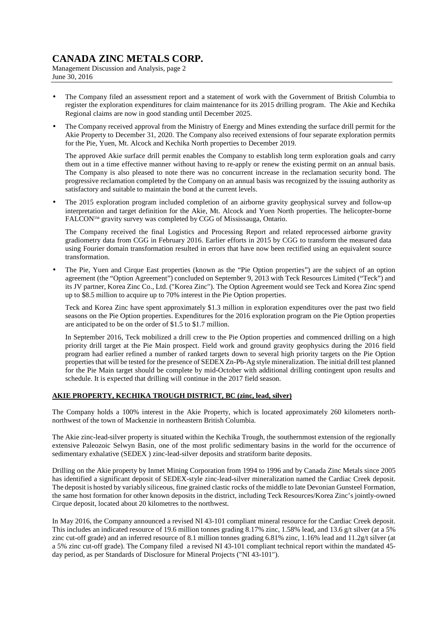Management Discussion and Analysis, page 2 June 30, 2016

- The Company filed an assessment report and a statement of work with the Government of British Columbia to register the exploration expenditures for claim maintenance for its 2015 drilling program. The Akie and Kechika Regional claims are now in good standing until December 2025.
- The Company received approval from the Ministry of Energy and Mines extending the surface drill permit for the Akie Property to December 31, 2020. The Company also received extensions of four separate exploration permits for the Pie, Yuen, Mt. Alcock and Kechika North properties to December 2019.

The approved Akie surface drill permit enables the Company to establish long term exploration goals and carry them out in a time effective manner without having to re-apply or renew the existing permit on an annual basis. The Company is also pleased to note there was no concurrent increase in the reclamation security bond. The progressive reclamation completed by the Company on an annual basis was recognized by the issuing authority as satisfactory and suitable to maintain the bond at the current levels.

• The 2015 exploration program included completion of an airborne gravity geophysical survey and follow-up interpretation and target definition for the Akie, Mt. Alcock and Yuen North properties. The helicopter-borne FALCONTM gravity survey was completed by CGG of Mississauga, Ontario.

The Company received the final Logistics and Processing Report and related reprocessed airborne gravity gradiometry data from CGG in February 2016. Earlier efforts in 2015 by CGG to transform the measured data using Fourier domain transformation resulted in errors that have now been rectified using an equivalent source transformation.

• The Pie, Yuen and Cirque East properties (known as the "Pie Option properties") are the subject of an option agreement (the "Option Agreement") concluded on September 9, 2013 with Teck Resources Limited ("Teck") and its JV partner, Korea Zinc Co., Ltd. ("Korea Zinc"). The Option Agreement would see Teck and Korea Zinc spend up to \$8.5 million to acquire up to 70% interest in the Pie Option properties.

Teck and Korea Zinc have spent approximately \$1.3 million in exploration expenditures over the past two field seasons on the Pie Option properties. Expenditures for the 2016 exploration program on the Pie Option properties are anticipated to be on the order of \$1.5 to \$1.7 million.

In September 2016, Teck mobilized a drill crew to the Pie Option properties and commenced drilling on a high priority drill target at the Pie Main prospect. Field work and ground gravity geophysics during the 2016 field program had earlier refined a number of ranked targets down to several high priority targets on the Pie Option properties that will be tested for the presence of SEDEX Zn-Pb-Ag style mineralization. The initial drill test planned for the Pie Main target should be complete by mid-October with additional drilling contingent upon results and schedule. It is expected that drilling will continue in the 2017 field season.

### **AKIE PROPERTY, KECHIKA TROUGH DISTRICT, BC (zinc, lead, silver)**

The Company holds a 100% interest in the Akie Property, which is located approximately 260 kilometers northnorthwest of the town of Mackenzie in northeastern British Columbia.

The Akie zinc-lead-silver property is situated within the Kechika Trough, the southernmost extension of the regionally extensive Paleozoic Selwyn Basin, one of the most prolific sedimentary basins in the world for the occurrence of sedimentary exhalative (SEDEX ) zinc-lead-silver deposits and stratiform barite deposits.

Drilling on the Akie property by Inmet Mining Corporation from 1994 to 1996 and by Canada Zinc Metals since 2005 has identified a significant deposit of SEDEX-style zinc-lead-silver mineralization named the Cardiac Creek deposit. The deposit is hosted by variably siliceous, fine grained clastic rocks of the middle to late Devonian Gunsteel Formation, the same host formation for other known deposits in the district, including Teck Resources/Korea Zinc's jointly-owned Cirque deposit, located about 20 kilometres to the northwest.

In May 2016, the Company announced a revised NI 43-101 compliant mineral resource for the Cardiac Creek deposit. This includes an indicated resource of 19.6 million tonnes grading 8.17% zinc, 1.58% lead, and 13.6 g/t silver (at a 5% zinc cut-off grade) and an inferred resource of 8.1 million tonnes grading 6.81% zinc, 1.16% lead and 11.2g/t silver (at a 5% zinc cut-off grade). The Company filed a revised NI 43-101 compliant technical report within the mandated 45 day period, as per Standards of Disclosure for Mineral Projects ("NI 43-101").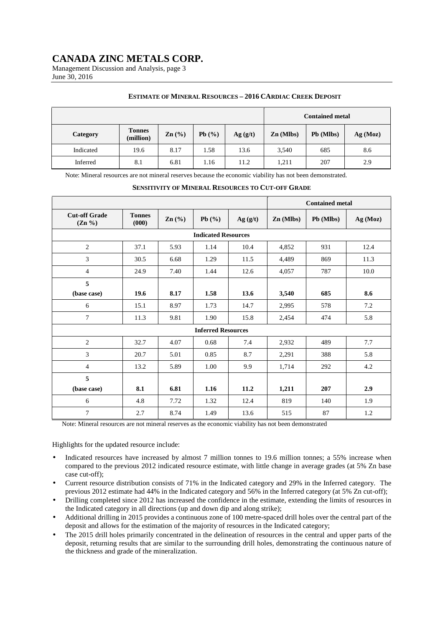Management Discussion and Analysis, page 3 June 30, 2016

#### **ESTIMATE OF MINERAL RESOURCES – 2016 CARDIAC CREEK DEPOSIT**

|           |                            |                 | <b>Contained metal</b> |         |             |           |         |
|-----------|----------------------------|-----------------|------------------------|---------|-------------|-----------|---------|
| Category  | <b>Tonnes</b><br>(million) | $\text{Zn}$ (%) | Pb(%)                  | Ag(g/t) | $Zn$ (Mlbs) | Pb (Mlbs) | Ag(Moz) |
| Indicated | 19.6                       | 8.17            | 1.58                   | 13.6    | 3,540       | 685       | 8.6     |
| Inferred  | 8.1                        | 6.81            | 1.16                   | 11.2    | 1,211       | 207       | 2.9     |

Note: Mineral resources are not mineral reserves because the economic viability has not been demonstrated.

|                                   |                            |                   |                           |         |             | <b>Contained metal</b> |          |  |  |  |  |
|-----------------------------------|----------------------------|-------------------|---------------------------|---------|-------------|------------------------|----------|--|--|--|--|
| <b>Cut-off Grade</b><br>$(Zn \%)$ | <b>Tonnes</b><br>(000)     | $\mathbf{Zn}$ (%) | Pb(%)                     | Ag(g/t) | $Zn$ (Mlbs) | Pb (Mlbs)              | Ag (Moz) |  |  |  |  |
|                                   | <b>Indicated Resources</b> |                   |                           |         |             |                        |          |  |  |  |  |
| $\overline{2}$                    | 37.1                       | 5.93              | 1.14                      | 10.4    | 4,852       | 931                    | 12.4     |  |  |  |  |
| 3                                 | 30.5                       | 6.68              | 1.29                      | 11.5    | 4,489       | 869                    | 11.3     |  |  |  |  |
| $\overline{4}$                    | 24.9                       | 7.40              | 1.44                      | 12.6    | 4,057       | 787                    | 10.0     |  |  |  |  |
| 5                                 |                            |                   |                           |         |             |                        |          |  |  |  |  |
| (base case)                       | 19.6                       | 8.17              | 1.58                      | 13.6    | 3,540       | 685                    | 8.6      |  |  |  |  |
| 6                                 | 15.1                       | 8.97              | 1.73                      | 14.7    | 2,995       | 578                    | 7.2      |  |  |  |  |
| $\overline{7}$                    | 11.3                       | 9.81              | 1.90                      | 15.8    | 2,454       | 474                    | 5.8      |  |  |  |  |
|                                   |                            |                   | <b>Inferred Resources</b> |         |             |                        |          |  |  |  |  |
| 2                                 | 32.7                       | 4.07              | 0.68                      | 7.4     | 2,932       | 489                    | 7.7      |  |  |  |  |
| 3                                 | 20.7                       | 5.01              | 0.85                      | 8.7     | 2,291       | 388                    | 5.8      |  |  |  |  |
| $\overline{4}$                    | 13.2                       | 5.89              | 1.00                      | 9.9     | 1,714       | 292                    | 4.2      |  |  |  |  |
| 5                                 |                            |                   |                           |         |             |                        |          |  |  |  |  |
| (base case)                       | 8.1                        | 6.81              | 1.16                      | 11.2    | 1,211       | 207                    | 2.9      |  |  |  |  |
| 6                                 | 4.8                        | 7.72              | 1.32                      | 12.4    | 819         | 140                    | 1.9      |  |  |  |  |
| $\tau$                            | 2.7                        | 8.74              | 1.49                      | 13.6    | 515         | 87                     | 1.2      |  |  |  |  |

#### **SENSITIVITY OF MINERAL RESOURCES TO CUT-OFF GRADE**

Note: Mineral resources are not mineral reserves as the economic viability has not been demonstrated

Highlights for the updated resource include:

- Indicated resources have increased by almost 7 million tonnes to 19.6 million tonnes; a 55% increase when compared to the previous 2012 indicated resource estimate, with little change in average grades (at 5% Zn base case cut-off);
- Current resource distribution consists of 71% in the Indicated category and 29% in the Inferred category. The previous 2012 estimate had 44% in the Indicated category and 56% in the Inferred category (at 5% Zn cut-off);
- Drilling completed since 2012 has increased the confidence in the estimate, extending the limits of resources in the Indicated category in all directions (up and down dip and along strike);
- Additional drilling in 2015 provides a continuous zone of 100 metre-spaced drill holes over the central part of the deposit and allows for the estimation of the majority of resources in the Indicated category;
- The 2015 drill holes primarily concentrated in the delineation of resources in the central and upper parts of the deposit, returning results that are similar to the surrounding drill holes, demonstrating the continuous nature of the thickness and grade of the mineralization.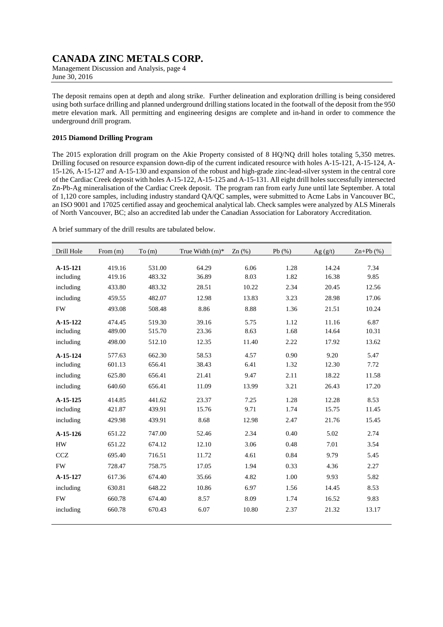Management Discussion and Analysis, page 4 June 30, 2016

The deposit remains open at depth and along strike. Further delineation and exploration drilling is being considered using both surface drilling and planned underground drilling stations located in the footwall of the deposit from the 950 metre elevation mark. All permitting and engineering designs are complete and in-hand in order to commence the underground drill program.

### **2015 Diamond Drilling Program**

The 2015 exploration drill program on the Akie Property consisted of 8 HQ/NQ drill holes totaling 5,350 metres. Drilling focused on resource expansion down-dip of the current indicated resource with holes A-15-121, A-15-124, A-15-126, A-15-127 and A-15-130 and expansion of the robust and high-grade zinc-lead-silver system in the central core of the Cardiac Creek deposit with holes A-15-122, A-15-125 and A-15-131. All eight drill holes successfully intersected Zn-Pb-Ag mineralisation of the Cardiac Creek deposit. The program ran from early June until late September. A total of 1,120 core samples, including industry standard QA/QC samples, were submitted to Acme Labs in Vancouver BC, an ISO 9001 and 17025 certified assay and geochemical analytical lab. Check samples were analyzed by ALS Minerals of North Vancouver, BC; also an accredited lab under the Canadian Association for Laboratory Accreditation.

A brief summary of the drill results are tabulated below.

| Drill Hole | From $(m)$ | To(m)  | True Width $(m)^*$ Zn $(\%)$ |       | Pb $(\%)$ | Ag(g/t) | $Zn+Pb(%)$ |
|------------|------------|--------|------------------------------|-------|-----------|---------|------------|
|            |            |        |                              |       |           |         |            |
| A-15-121   | 419.16     | 531.00 | 64.29                        | 6.06  | 1.28      | 14.24   | 7.34       |
| including  | 419.16     | 483.32 | 36.89                        | 8.03  | 1.82      | 16.38   | 9.85       |
| including  | 433.80     | 483.32 | 28.51                        | 10.22 | 2.34      | 20.45   | 12.56      |
| including  | 459.55     | 482.07 | 12.98                        | 13.83 | 3.23      | 28.98   | 17.06      |
| ${\rm FW}$ | 493.08     | 508.48 | 8.86                         | 8.88  | 1.36      | 21.51   | 10.24      |
| A-15-122   | 474.45     | 519.30 | 39.16                        | 5.75  | 1.12      | 11.16   | 6.87       |
| including  | 489.00     | 515.70 | 23.36                        | 8.63  | 1.68      | 14.64   | 10.31      |
| including  | 498.00     | 512.10 | 12.35                        | 11.40 | 2.22      | 17.92   | 13.62      |
| A-15-124   | 577.63     | 662.30 | 58.53                        | 4.57  | 0.90      | 9.20    | 5.47       |
| including  | 601.13     | 656.41 | 38.43                        | 6.41  | 1.32      | 12.30   | 7.72       |
| including  | 625.80     | 656.41 | 21.41                        | 9.47  | 2.11      | 18.22   | 11.58      |
| including  | 640.60     | 656.41 | 11.09                        | 13.99 | 3.21      | 26.43   | 17.20      |
| A-15-125   | 414.85     | 441.62 | 23.37                        | 7.25  | 1.28      | 12.28   | 8.53       |
| including  | 421.87     | 439.91 | 15.76                        | 9.71  | 1.74      | 15.75   | 11.45      |
| including  | 429.98     | 439.91 | 8.68                         | 12.98 | 2.47      | 21.76   | 15.45      |
| A-15-126   | 651.22     | 747.00 | 52.46                        | 2.34  | 0.40      | 5.02    | 2.74       |
| <b>HW</b>  | 651.22     | 674.12 | 12.10                        | 3.06  | 0.48      | 7.01    | 3.54       |
| <b>CCZ</b> | 695.40     | 716.51 | 11.72                        | 4.61  | 0.84      | 9.79    | 5.45       |
| <b>FW</b>  | 728.47     | 758.75 | 17.05                        | 1.94  | 0.33      | 4.36    | 2.27       |
| A-15-127   | 617.36     | 674.40 | 35.66                        | 4.82  | 1.00      | 9.93    | 5.82       |
| including  | 630.81     | 648.22 | 10.86                        | 6.97  | 1.56      | 14.45   | 8.53       |
| <b>FW</b>  | 660.78     | 674.40 | 8.57                         | 8.09  | 1.74      | 16.52   | 9.83       |
| including  | 660.78     | 670.43 | 6.07                         | 10.80 | 2.37      | 21.32   | 13.17      |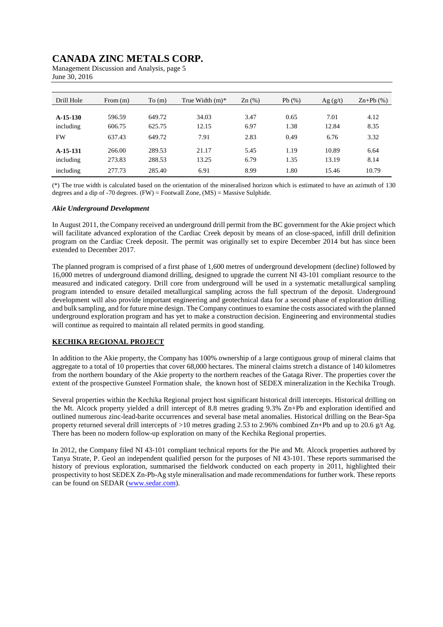| Drill Hole | From $(m)$ | To(m)  | True Width $(m)^*$ | $Zn$ (%) | Pb(%) | $\text{Ag}(g/t)$ | $Zn+Pb$ $(\% )$ |
|------------|------------|--------|--------------------|----------|-------|------------------|-----------------|
|            |            |        |                    |          |       |                  |                 |
| $A-15-130$ | 596.59     | 649.72 | 34.03              | 3.47     | 0.65  | 7.01             | 4.12            |
| including  | 606.75     | 625.75 | 12.15              | 6.97     | 1.38  | 12.84            | 8.35            |
| <b>FW</b>  | 637.43     | 649.72 | 7.91               | 2.83     | 0.49  | 6.76             | 3.32            |
| A-15-131   | 266.00     | 289.53 | 21.17              | 5.45     | 1.19  | 10.89            | 6.64            |
| including  | 273.83     | 288.53 | 13.25              | 6.79     | 1.35  | 13.19            | 8.14            |
| including  | 277.73     | 285.40 | 6.91               | 8.99     | 1.80  | 15.46            | 10.79           |

Management Discussion and Analysis, page 5 June 30, 2016

(\*) The true width is calculated based on the orientation of the mineralised horizon which is estimated to have an azimuth of 130 degrees and a dip of -70 degrees.  $(FW) =$  Footwall Zone,  $(MS) =$  Massive Sulphide.

#### *Akie Underground Development*

In August 2011, the Company received an underground drill permit from the BC government for the Akie project which will facilitate advanced exploration of the Cardiac Creek deposit by means of an close-spaced, infill drill definition program on the Cardiac Creek deposit. The permit was originally set to expire December 2014 but has since been extended to December 2017.

The planned program is comprised of a first phase of 1,600 metres of underground development (decline) followed by 16,000 metres of underground diamond drilling, designed to upgrade the current NI 43-101 compliant resource to the measured and indicated category. Drill core from underground will be used in a systematic metallurgical sampling program intended to ensure detailed metallurgical sampling across the full spectrum of the deposit. Underground development will also provide important engineering and geotechnical data for a second phase of exploration drilling and bulk sampling, and for future mine design. The Company continues to examine the costs associated with the planned underground exploration program and has yet to make a construction decision. Engineering and environmental studies will continue as required to maintain all related permits in good standing.

### **KECHIKA REGIONAL PROJECT**

In addition to the Akie property, the Company has 100% ownership of a large contiguous group of mineral claims that aggregate to a total of 10 properties that cover 68,000 hectares. The mineral claims stretch a distance of 140 kilometres from the northern boundary of the Akie property to the northern reaches of the Gataga River. The properties cover the extent of the prospective Gunsteel Formation shale, the known host of SEDEX mineralization in the Kechika Trough.

Several properties within the Kechika Regional project host significant historical drill intercepts. Historical drilling on the Mt. Alcock property yielded a drill intercept of 8.8 metres grading 9.3% Zn+Pb and exploration identified and outlined numerous zinc-lead-barite occurrences and several base metal anomalies. Historical drilling on the Bear-Spa property returned several drill intercepts of >10 metres grading 2.53 to 2.96% combined Zn+Pb and up to 20.6 g/t Ag. There has been no modern follow-up exploration on many of the Kechika Regional properties.

In 2012, the Company filed NI 43-101 compliant technical reports for the Pie and Mt. Alcock properties authored by Tanya Strate, P. Geol an independent qualified person for the purposes of NI 43-101. These reports summarised the history of previous exploration, summarised the fieldwork conducted on each property in 2011, highlighted their prospectivity to host SEDEX Zn-Pb-Ag style mineralisation and made recommendations for further work. These reports can be found on SEDAR (www.sedar.com).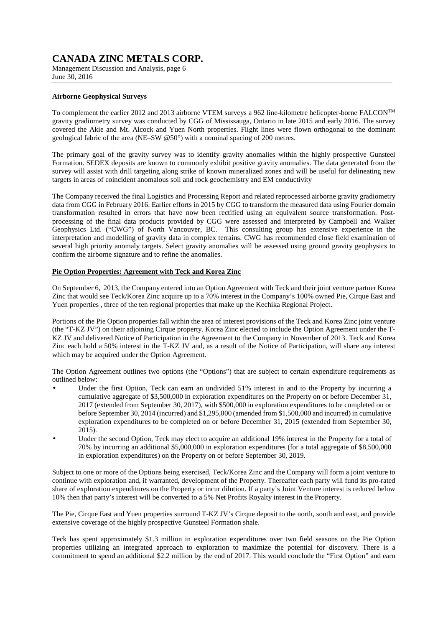Management Discussion and Analysis, page 6 June 30, 2016

#### **Airborne Geophysical Surveys**

To complement the earlier 2012 and 2013 airborne VTEM surveys a 962 line-kilometre helicopter-borne FALCONTM gravity gradiometry survey was conducted by CGG of Mississauga, Ontario in late 2015 and early 2016. The survey covered the Akie and Mt. Alcock and Yuen North properties. Flight lines were flown orthogonal to the dominant geological fabric of the area (NE–SW @50°) with a nominal spacing of 200 metres.

The primary goal of the gravity survey was to identify gravity anomalies within the highly prospective Gunsteel Formation. SEDEX deposits are known to commonly exhibit positive gravity anomalies. The data generated from the survey will assist with drill targeting along strike of known mineralized zones and will be useful for delineating new targets in areas of coincident anomalous soil and rock geochemistry and EM conductivity

The Company received the final Logistics and Processing Report and related reprocessed airborne gravity gradiometry data from CGG in February 2016. Earlier efforts in 2015 by CGG to transform the measured data using Fourier domain transformation resulted in errors that have now been rectified using an equivalent source transformation. Postprocessing of the final data products provided by CGG were assessed and interpreted by Campbell and Walker Geophysics Ltd. ("CWG") of North Vancouver, BC. This consulting group has extensive experience in the interpretation and modelling of gravity data in complex terrains. CWG has recommended close field examination of several high priority anomaly targets. Select gravity anomalies will be assessed using ground gravity geophysics to confirm the airborne signature and to refine the anomalies.

### **Pie Option Properties: Agreement with Teck and Korea Zinc**

On September 6, 2013, the Company entered into an Option Agreement with Teck and their joint venture partner Korea Zinc that would see Teck/Korea Zinc acquire up to a 70% interest in the Company's 100% owned Pie, Cirque East and Yuen properties , three of the ten regional properties that make up the Kechika Regional Project.

Portions of the Pie Option properties fall within the area of interest provisions of the Teck and Korea Zinc joint venture (the "T-KZ JV") on their adjoining Cirque property. Korea Zinc elected to include the Option Agreement under the T-KZ JV and delivered Notice of Participation in the Agreement to the Company in November of 2013. Teck and Korea Zinc each hold a 50% interest in the T-KZ JV and, as a result of the Notice of Participation, will share any interest which may be acquired under the Option Agreement.

The Option Agreement outlines two options (the "Options") that are subject to certain expenditure requirements as outlined below:

- Under the first Option, Teck can earn an undivided 51% interest in and to the Property by incurring a cumulative aggregate of \$3,500,000 in exploration expenditures on the Property on or before December 31, 2017 (extended from September 30, 2017), with \$500,000 in exploration expenditures to be completed on or before September 30, 2014 (incurred) and \$1,295,000 (amended from \$1,500,000 and incurred) in cumulative exploration expenditures to be completed on or before December 31, 2015 (extended from September 30, 2015).
- Under the second Option, Teck may elect to acquire an additional 19% interest in the Property for a total of 70% by incurring an additional \$5,000,000 in exploration expenditures (for a total aggregate of \$8,500,000 in exploration expenditures) on the Property on or before September 30, 2019.

Subject to one or more of the Options being exercised, Teck/Korea Zinc and the Company will form a joint venture to continue with exploration and, if warranted, development of the Property. Thereafter each party will fund its pro-rated share of exploration expenditures on the Property or incur dilution. If a party's Joint Venture interest is reduced below 10% then that party's interest will be converted to a 5% Net Profits Royalty interest in the Property.

The Pie, Cirque East and Yuen properties surround T-KZ JV's Cirque deposit to the north, south and east, and provide extensive coverage of the highly prospective Gunsteel Formation shale.

Teck has spent approximately \$1.3 million in exploration expenditures over two field seasons on the Pie Option properties utilizing an integrated approach to exploration to maximize the potential for discovery. There is a commitment to spend an additional \$2.2 million by the end of 2017. This would conclude the "First Option" and earn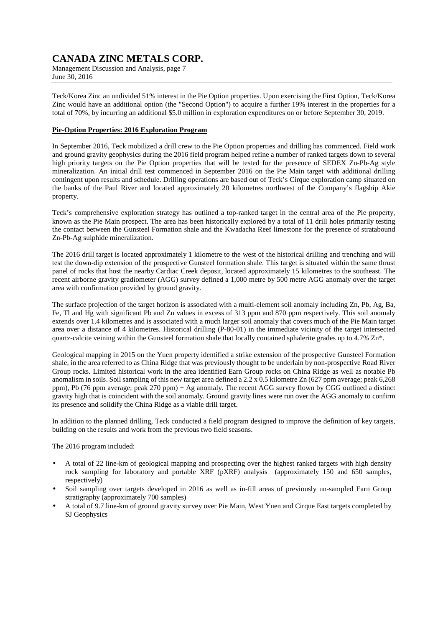Management Discussion and Analysis, page 7 June 30, 2016

Teck/Korea Zinc an undivided 51% interest in the Pie Option properties. Upon exercising the First Option, Teck/Korea Zinc would have an additional option (the "Second Option") to acquire a further 19% interest in the properties for a total of 70%, by incurring an additional \$5.0 million in exploration expenditures on or before September 30, 2019.

### **Pie-Option Properties: 2016 Exploration Program**

In September 2016, Teck mobilized a drill crew to the Pie Option properties and drilling has commenced. Field work and ground gravity geophysics during the 2016 field program helped refine a number of ranked targets down to several high priority targets on the Pie Option properties that will be tested for the presence of SEDEX Zn-Pb-Ag style mineralization. An initial drill test commenced in September 2016 on the Pie Main target with additional drilling contingent upon results and schedule. Drilling operations are based out of Teck's Cirque exploration camp situated on the banks of the Paul River and located approximately 20 kilometres northwest of the Company's flagship Akie property.

Teck's comprehensive exploration strategy has outlined a top-ranked target in the central area of the Pie property, known as the Pie Main prospect. The area has been historically explored by a total of 11 drill holes primarily testing the contact between the Gunsteel Formation shale and the Kwadacha Reef limestone for the presence of stratabound Zn-Pb-Ag sulphide mineralization.

The 2016 drill target is located approximately 1 kilometre to the west of the historical drilling and trenching and will test the down-dip extension of the prospective Gunsteel formation shale. This target is situated within the same thrust panel of rocks that host the nearby Cardiac Creek deposit, located approximately 15 kilometres to the southeast. The recent airborne gravity gradiometer (AGG) survey defined a 1,000 metre by 500 metre AGG anomaly over the target area with confirmation provided by ground gravity.

The surface projection of the target horizon is associated with a multi-element soil anomaly including Zn, Pb, Ag, Ba, Fe, Tl and Hg with significant Pb and Zn values in excess of 313 ppm and 870 ppm respectively. This soil anomaly extends over 1.4 kilometres and is associated with a much larger soil anomaly that covers much of the Pie Main target area over a distance of 4 kilometres. Historical drilling (P-80-01) in the immediate vicinity of the target intersected quartz-calcite veining within the Gunsteel formation shale that locally contained sphalerite grades up to 4.7% Zn\*.

Geological mapping in 2015 on the Yuen property identified a strike extension of the prospective Gunsteel Formation shale, in the area referred to as China Ridge that was previously thought to be underlain by non-prospective Road River Group rocks. Limited historical work in the area identified Earn Group rocks on China Ridge as well as notable Pb anomalism in soils. Soil sampling of this new target area defined a  $2.2 \times 0.5$  kilometre Zn (627 ppm average; peak 6,268 ppm), Pb (76 ppm average; peak 270 ppm) + Ag anomaly. The recent AGG survey flown by CGG outlined a distinct gravity high that is coincident with the soil anomaly. Ground gravity lines were run over the AGG anomaly to confirm its presence and solidify the China Ridge as a viable drill target.

In addition to the planned drilling, Teck conducted a field program designed to improve the definition of key targets, building on the results and work from the previous two field seasons.

The 2016 program included:

- A total of 22 line-km of geological mapping and prospecting over the highest ranked targets with high density rock sampling for laboratory and portable XRF (pXRF) analysis (approximately 150 and 650 samples, respectively)
- Soil sampling over targets developed in 2016 as well as in-fill areas of previously un-sampled Earn Group stratigraphy (approximately 700 samples)
- A total of 9.7 line-km of ground gravity survey over Pie Main, West Yuen and Cirque East targets completed by SJ Geophysics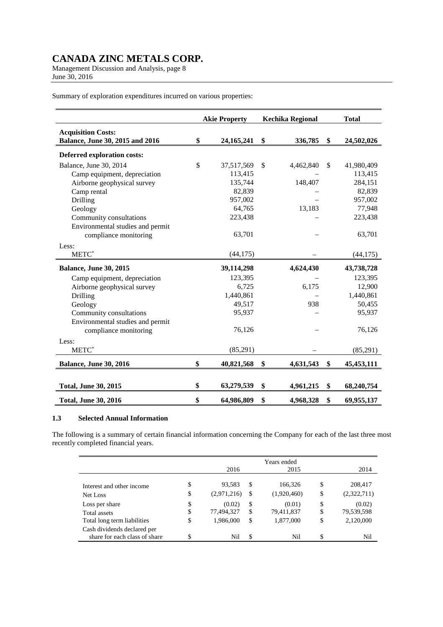Management Discussion and Analysis, page 8 June 30, 2016

Summary of exploration expenditures incurred on various properties:

|                                                              | <b>Akie Property</b> | <b>Kechika Regional</b> | <b>Total</b>       |
|--------------------------------------------------------------|----------------------|-------------------------|--------------------|
| <b>Acquisition Costs:</b><br>Balance, June 30, 2015 and 2016 | \$<br>24, 165, 241   | \$<br>336,785           | \$<br>24,502,026   |
| Deferred exploration costs:                                  |                      |                         |                    |
| Balance, June 30, 2014                                       | \$<br>37,517,569     | \$<br>4,462,840         | \$<br>41,980,409   |
| Camp equipment, depreciation                                 | 113,415              |                         | 113,415            |
| Airborne geophysical survey                                  | 135,744              | 148,407                 | 284,151            |
| Camp rental                                                  | 82,839               |                         | 82,839             |
| Drilling                                                     | 957,002              |                         | 957,002            |
| Geology                                                      | 64,765               | 13,183                  | 77,948             |
| Community consultations                                      | 223,438              |                         | 223,438            |
| Environmental studies and permit                             |                      |                         |                    |
| compliance monitoring                                        | 63,701               |                         | 63,701             |
| Less:                                                        |                      |                         |                    |
| $METC^*$                                                     | (44, 175)            |                         | (44, 175)          |
| <b>Balance, June 30, 2015</b>                                | 39,114,298           | 4,624,430               | 43,738,728         |
| Camp equipment, depreciation                                 | 123,395              |                         | 123,395            |
| Airborne geophysical survey                                  | 6,725                | 6,175                   | 12,900             |
| Drilling                                                     | 1,440,861            |                         | 1,440,861          |
| Geology                                                      | 49,517               | 938                     | 50,455             |
| Community consultations                                      | 95,937               |                         | 95,937             |
| Environmental studies and permit                             |                      |                         |                    |
| compliance monitoring                                        | 76,126               |                         | 76,126             |
| Less:                                                        |                      |                         |                    |
| METC <sup>*</sup>                                            | (85,291)             |                         | (85,291)           |
| <b>Balance, June 30, 2016</b>                                | \$<br>40,821,568     | \$<br>4,631,543         | \$<br>45, 453, 111 |
|                                                              |                      |                         |                    |
| <b>Total, June 30, 2015</b>                                  | \$<br>63,279,539     | \$<br>4,961,215         | \$<br>68,240,754   |
| <b>Total, June 30, 2016</b>                                  | \$<br>64,986,809     | \$<br>4,968,328         | \$<br>69,955,137   |

#### **1.3 Selected Annual Information**

The following is a summary of certain financial information concerning the Company for each of the last three most recently completed financial years.

|                                                              |          | 2016                    |          | Years ended<br>2015     |          | 2014                    |
|--------------------------------------------------------------|----------|-------------------------|----------|-------------------------|----------|-------------------------|
| Interest and other income                                    | \$<br>\$ | 93,583<br>(2,971,216)   | S<br>S   | 166,326<br>(1,920,460)  | \$<br>\$ | 208,417<br>(2,322,711)  |
| Net Loss<br>Loss per share                                   | \$       | (0.02)                  | \$       | (0.01)                  | \$       | (0.02)                  |
| Total assets<br>Total long term liabilities                  | \$<br>\$ | 77,494,327<br>1,986,000 | \$<br>\$ | 79,411,837<br>1,877,000 | \$<br>\$ | 79,539,598<br>2,120,000 |
| Cash dividends declared per<br>share for each class of share | \$       | Nil                     | \$       | Nil                     |          | Nil                     |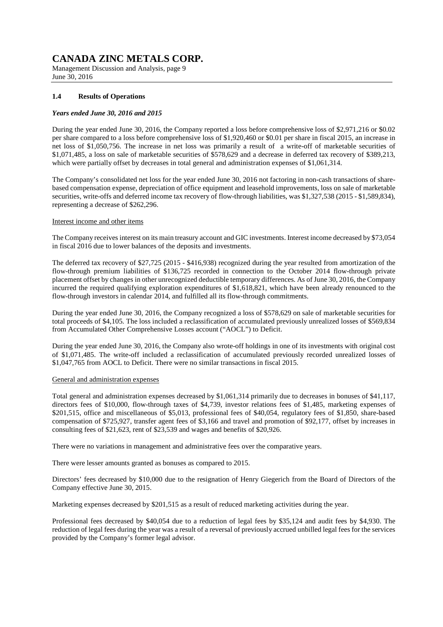Management Discussion and Analysis, page 9 June 30, 2016

### **1.4 Results of Operations**

#### *Years ended June 30, 2016 and 2015*

During the year ended June 30, 2016, the Company reported a loss before comprehensive loss of \$2,971,216 or \$0.02 per share compared to a loss before comprehensive loss of \$1,920,460 or \$0.01 per share in fiscal 2015, an increase in net loss of \$1,050,756. The increase in net loss was primarily a result of a write-off of marketable securities of \$1,071,485, a loss on sale of marketable securities of \$578,629 and a decrease in deferred tax recovery of \$389,213, which were partially offset by decreases in total general and administration expenses of \$1,061,314.

The Company's consolidated net loss for the year ended June 30, 2016 not factoring in non-cash transactions of sharebased compensation expense, depreciation of office equipment and leasehold improvements, loss on sale of marketable securities, write-offs and deferred income tax recovery of flow-through liabilities, was \$1,327,538 (2015 - \$1,589,834), representing a decrease of \$262,296.

#### Interest income and other items

The Company receives interest on its main treasury account and GIC investments. Interest income decreased by \$73,054 in fiscal 2016 due to lower balances of the deposits and investments.

The deferred tax recovery of \$27,725 (2015 - \$416,938) recognized during the year resulted from amortization of the flow-through premium liabilities of \$136,725 recorded in connection to the October 2014 flow-through private placement offset by changes in other unrecognized deductible temporary differences. As of June 30, 2016, the Company incurred the required qualifying exploration expenditures of \$1,618,821, which have been already renounced to the flow-through investors in calendar 2014, and fulfilled all its flow-through commitments.

During the year ended June 30, 2016, the Company recognized a loss of \$578,629 on sale of marketable securities for total proceeds of \$4,105. The loss included a reclassification of accumulated previously unrealized losses of \$569,834 from Accumulated Other Comprehensive Losses account ("AOCL") to Deficit.

During the year ended June 30, 2016, the Company also wrote-off holdings in one of its investments with original cost of \$1,071,485. The write-off included a reclassification of accumulated previously recorded unrealized losses of \$1,047,765 from AOCL to Deficit. There were no similar transactions in fiscal 2015.

#### General and administration expenses

Total general and administration expenses decreased by \$1,061,314 primarily due to decreases in bonuses of \$41,117, directors fees of \$10,000, flow-through taxes of \$4,739, investor relations fees of \$1,485, marketing expenses of \$201,515, office and miscellaneous of \$5,013, professional fees of \$40,054, regulatory fees of \$1,850, share-based compensation of \$725,927, transfer agent fees of \$3,166 and travel and promotion of \$92,177, offset by increases in consulting fees of \$21,623, rent of \$23,539 and wages and benefits of \$20,926.

There were no variations in management and administrative fees over the comparative years.

There were lesser amounts granted as bonuses as compared to 2015.

Directors' fees decreased by \$10,000 due to the resignation of Henry Giegerich from the Board of Directors of the Company effective June 30, 2015.

Marketing expenses decreased by \$201,515 as a result of reduced marketing activities during the year.

Professional fees decreased by \$40,054 due to a reduction of legal fees by \$35,124 and audit fees by \$4,930. The reduction of legal fees during the year was a result of a reversal of previously accrued unbilled legal fees for the services provided by the Company's former legal advisor.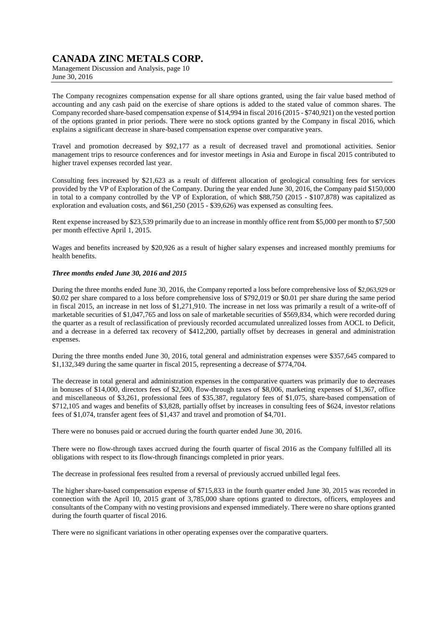Management Discussion and Analysis, page 10 June 30, 2016

The Company recognizes compensation expense for all share options granted, using the fair value based method of accounting and any cash paid on the exercise of share options is added to the stated value of common shares. The Company recorded share-based compensation expense of \$14,994 in fiscal 2016 (2015 - \$740,921) on the vested portion of the options granted in prior periods. There were no stock options granted by the Company in fiscal 2016, which explains a significant decrease in share-based compensation expense over comparative years.

Travel and promotion decreased by \$92,177 as a result of decreased travel and promotional activities. Senior management trips to resource conferences and for investor meetings in Asia and Europe in fiscal 2015 contributed to higher travel expenses recorded last year.

Consulting fees increased by \$21,623 as a result of different allocation of geological consulting fees for services provided by the VP of Exploration of the Company. During the year ended June 30, 2016, the Company paid \$150,000 in total to a company controlled by the VP of Exploration, of which \$88,750 (2015 - \$107,878) was capitalized as exploration and evaluation costs, and \$61,250 (2015 - \$39,626) was expensed as consulting fees.

Rent expense increased by \$23,539 primarily due to an increase in monthly office rent from \$5,000 per month to \$7,500 per month effective April 1, 2015.

Wages and benefits increased by \$20,926 as a result of higher salary expenses and increased monthly premiums for health benefits.

### *Three months ended June 30, 2016 and 2015*

During the three months ended June 30, 2016, the Company reported a loss before comprehensive loss of \$2,063,929 or \$0.02 per share compared to a loss before comprehensive loss of \$792,019 or \$0.01 per share during the same period in fiscal 2015, an increase in net loss of \$1,271,910. The increase in net loss was primarily a result of a write-off of marketable securities of \$1,047,765 and loss on sale of marketable securities of \$569,834, which were recorded during the quarter as a result of reclassification of previously recorded accumulated unrealized losses from AOCL to Deficit, and a decrease in a deferred tax recovery of \$412,200, partially offset by decreases in general and administration expenses.

During the three months ended June 30, 2016, total general and administration expenses were \$357,645 compared to \$1,132,349 during the same quarter in fiscal 2015, representing a decrease of \$774,704.

The decrease in total general and administration expenses in the comparative quarters was primarily due to decreases in bonuses of \$14,000, directors fees of \$2,500, flow-through taxes of \$8,006, marketing expenses of \$1,367, office and miscellaneous of \$3,261, professional fees of \$35,387, regulatory fees of \$1,075, share-based compensation of \$712,105 and wages and benefits of \$3,828, partially offset by increases in consulting fees of \$624, investor relations fees of \$1,074, transfer agent fees of \$1,437 and travel and promotion of \$4,701.

There were no bonuses paid or accrued during the fourth quarter ended June 30, 2016.

There were no flow-through taxes accrued during the fourth quarter of fiscal 2016 as the Company fulfilled all its obligations with respect to its flow-through financings completed in prior years.

The decrease in professional fees resulted from a reversal of previously accrued unbilled legal fees.

The higher share-based compensation expense of \$715,833 in the fourth quarter ended June 30, 2015 was recorded in connection with the April 10, 2015 grant of 3,785,000 share options granted to directors, officers, employees and consultants of the Company with no vesting provisions and expensed immediately. There were no share options granted during the fourth quarter of fiscal 2016.

There were no significant variations in other operating expenses over the comparative quarters.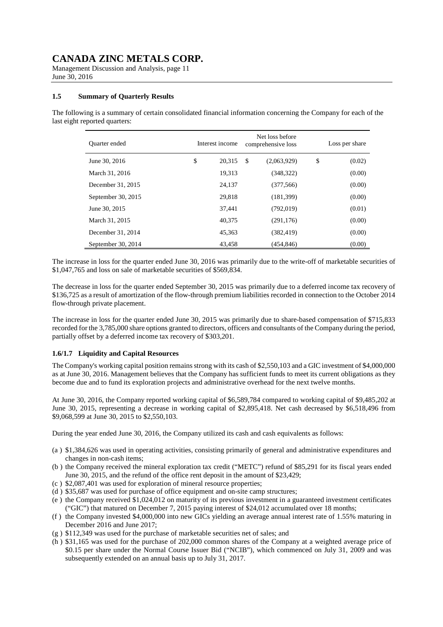Management Discussion and Analysis, page 11 June 30, 2016

### **1.5 Summary of Quarterly Results**

The following is a summary of certain consolidated financial information concerning the Company for each of the last eight reported quarters:

| <b>Ouarter</b> ended | Interest income |               | Net loss before<br>comprehensive loss | Loss per share |
|----------------------|-----------------|---------------|---------------------------------------|----------------|
| June 30, 2016        | \$<br>20,315    | <sup>\$</sup> | (2,063,929)                           | \$<br>(0.02)   |
| March 31, 2016       | 19,313          |               | (348, 322)                            | (0.00)         |
| December 31, 2015    | 24,137          |               | (377, 566)                            | (0.00)         |
| September 30, 2015   | 29.818          |               | (181, 399)                            | (0.00)         |
| June 30, 2015        | 37,441          |               | (792, 019)                            | (0.01)         |
| March 31, 2015       | 40,375          |               | (291, 176)                            | (0.00)         |
| December 31, 2014    | 45.363          |               | (382, 419)                            | (0.00)         |
| September 30, 2014   | 43,458          |               | (454,846)                             | (0.00)         |

The increase in loss for the quarter ended June 30, 2016 was primarily due to the write-off of marketable securities of \$1,047,765 and loss on sale of marketable securities of \$569,834.

The decrease in loss for the quarter ended September 30, 2015 was primarily due to a deferred income tax recovery of \$136,725 as a result of amortization of the flow-through premium liabilities recorded in connection to the October 2014 flow-through private placement.

The increase in loss for the quarter ended June 30, 2015 was primarily due to share-based compensation of \$715,833 recorded for the 3,785,000 share options granted to directors, officers and consultants of the Company during the period, partially offset by a deferred income tax recovery of \$303,201.

### **1.6/1.7 Liquidity and Capital Resources**

The Company's working capital position remains strong with its cash of \$2,550,103 and a GIC investment of \$4,000,000 as at June 30, 2016. Management believes that the Company has sufficient funds to meet its current obligations as they become due and to fund its exploration projects and administrative overhead for the next twelve months.

At June 30, 2016, the Company reported working capital of \$6,589,784 compared to working capital of \$9,485,202 at June 30, 2015, representing a decrease in working capital of \$2,895,418. Net cash decreased by \$6,518,496 from \$9,068,599 at June 30, 2015 to \$2,550,103.

During the year ended June 30, 2016, the Company utilized its cash and cash equivalents as follows:

- (a ) \$1,384,626 was used in operating activities, consisting primarily of general and administrative expenditures and changes in non-cash items;
- (b ) the Company received the mineral exploration tax credit ("METC") refund of \$85,291 for its fiscal years ended June 30, 2015, and the refund of the office rent deposit in the amount of \$23,429;
- (c ) \$2,087,401 was used for exploration of mineral resource properties;
- (d ) \$35,687 was used for purchase of office equipment and on-site camp structures;
- (e ) the Company received \$1,024,012 on maturity of its previous investment in a guaranteed investment certificates ("GIC") that matured on December 7, 2015 paying interest of \$24,012 accumulated over 18 months;
- (f ) the Company invested \$4,000,000 into new GICs yielding an average annual interest rate of 1.55% maturing in December 2016 and June 2017;
- (g ) \$112,349 was used for the purchase of marketable securities net of sales; and
- (h ) \$31,165 was used for the purchase of 202,000 common shares of the Company at a weighted average price of \$0.15 per share under the Normal Course Issuer Bid ("NCIB"), which commenced on July 31, 2009 and was subsequently extended on an annual basis up to July 31, 2017.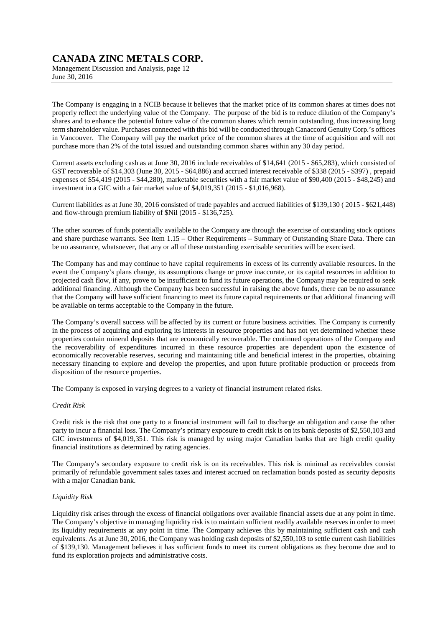Management Discussion and Analysis, page 12 June 30, 2016

The Company is engaging in a NCIB because it believes that the market price of its common shares at times does not properly reflect the underlying value of the Company. The purpose of the bid is to reduce dilution of the Company's shares and to enhance the potential future value of the common shares which remain outstanding, thus increasing long term shareholder value. Purchases connected with this bid will be conducted through Canaccord Genuity Corp.'s offices in Vancouver. The Company will pay the market price of the common shares at the time of acquisition and will not purchase more than 2% of the total issued and outstanding common shares within any 30 day period.

Current assets excluding cash as at June 30, 2016 include receivables of \$14,641 (2015 - \$65,283), which consisted of GST recoverable of \$14,303 (June 30, 2015 - \$64,886) and accrued interest receivable of \$338 (2015 - \$397) , prepaid expenses of \$54,419 (2015 - \$44,280), marketable securities with a fair market value of \$90,400 (2015 - \$48,245) and investment in a GIC with a fair market value of \$4,019,351 (2015 - \$1,016,968).

Current liabilities as at June 30, 2016 consisted of trade payables and accrued liabilities of \$139,130 ( 2015 - \$621,448) and flow-through premium liability of \$Nil (2015 - \$136,725).

The other sources of funds potentially available to the Company are through the exercise of outstanding stock options and share purchase warrants. See Item 1.15 – Other Requirements – Summary of Outstanding Share Data. There can be no assurance, whatsoever, that any or all of these outstanding exercisable securities will be exercised.

The Company has and may continue to have capital requirements in excess of its currently available resources. In the event the Company's plans change, its assumptions change or prove inaccurate, or its capital resources in addition to projected cash flow, if any, prove to be insufficient to fund its future operations, the Company may be required to seek additional financing. Although the Company has been successful in raising the above funds, there can be no assurance that the Company will have sufficient financing to meet its future capital requirements or that additional financing will be available on terms acceptable to the Company in the future.

The Company's overall success will be affected by its current or future business activities. The Company is currently in the process of acquiring and exploring its interests in resource properties and has not yet determined whether these properties contain mineral deposits that are economically recoverable. The continued operations of the Company and the recoverability of expenditures incurred in these resource properties are dependent upon the existence of economically recoverable reserves, securing and maintaining title and beneficial interest in the properties, obtaining necessary financing to explore and develop the properties, and upon future profitable production or proceeds from disposition of the resource properties.

The Company is exposed in varying degrees to a variety of financial instrument related risks.

### *Credit Risk*

Credit risk is the risk that one party to a financial instrument will fail to discharge an obligation and cause the other party to incur a financial loss. The Company's primary exposure to credit risk is on its bank deposits of \$2,550,103 and GIC investments of \$4,019,351. This risk is managed by using major Canadian banks that are high credit quality financial institutions as determined by rating agencies.

The Company's secondary exposure to credit risk is on its receivables. This risk is minimal as receivables consist primarily of refundable government sales taxes and interest accrued on reclamation bonds posted as security deposits with a major Canadian bank.

### *Liquidity Risk*

Liquidity risk arises through the excess of financial obligations over available financial assets due at any point in time. The Company's objective in managing liquidity risk is to maintain sufficient readily available reserves in order to meet its liquidity requirements at any point in time. The Company achieves this by maintaining sufficient cash and cash equivalents. As at June 30, 2016, the Company was holding cash deposits of \$2,550,103 to settle current cash liabilities of \$139,130. Management believes it has sufficient funds to meet its current obligations as they become due and to fund its exploration projects and administrative costs.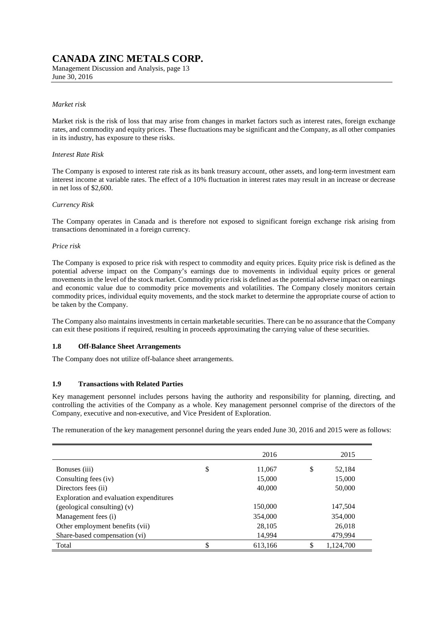Management Discussion and Analysis, page 13 June 30, 2016

#### *Market risk*

Market risk is the risk of loss that may arise from changes in market factors such as interest rates, foreign exchange rates, and commodity and equity prices. These fluctuations may be significant and the Company, as all other companies in its industry, has exposure to these risks.

#### *Interest Rate Risk*

The Company is exposed to interest rate risk as its bank treasury account, other assets, and long-term investment earn interest income at variable rates. The effect of a 10% fluctuation in interest rates may result in an increase or decrease in net loss of \$2,600.

#### *Currency Risk*

The Company operates in Canada and is therefore not exposed to significant foreign exchange risk arising from transactions denominated in a foreign currency.

#### *Price risk*

The Company is exposed to price risk with respect to commodity and equity prices. Equity price risk is defined as the potential adverse impact on the Company's earnings due to movements in individual equity prices or general movements in the level of the stock market. Commodity price risk is defined as the potential adverse impact on earnings and economic value due to commodity price movements and volatilities. The Company closely monitors certain commodity prices, individual equity movements, and the stock market to determine the appropriate course of action to be taken by the Company.

The Company also maintains investments in certain marketable securities. There can be no assurance that the Company can exit these positions if required, resulting in proceeds approximating the carrying value of these securities.

### **1.8 Off-Balance Sheet Arrangements**

The Company does not utilize off-balance sheet arrangements.

### **1.9 Transactions with Related Parties**

Key management personnel includes persons having the authority and responsibility for planning, directing, and controlling the activities of the Company as a whole. Key management personnel comprise of the directors of the Company, executive and non-executive, and Vice President of Exploration.

The remuneration of the key management personnel during the years ended June 30, 2016 and 2015 were as follows:

|                                         | 2016          | 2015            |
|-----------------------------------------|---------------|-----------------|
| Bonuses (iii)                           | \$<br>11,067  | \$<br>52,184    |
| Consulting fees (iv)                    | 15,000        | 15,000          |
| Directors fees (ii)                     | 40,000        | 50,000          |
| Exploration and evaluation expenditures |               |                 |
| (geological consulting) (v)             | 150,000       | 147,504         |
| Management fees (i)                     | 354,000       | 354,000         |
| Other employment benefits (vii)         | 28,105        | 26,018          |
| Share-based compensation (vi)           | 14,994        | 479,994         |
| Total                                   | \$<br>613,166 | \$<br>1,124,700 |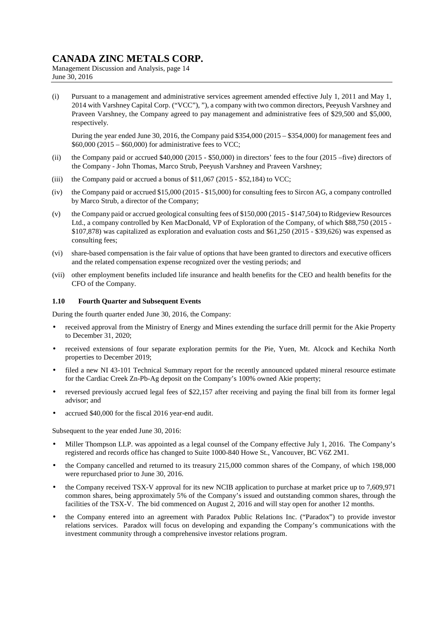Management Discussion and Analysis, page 14 June 30, 2016

(i) Pursuant to a management and administrative services agreement amended effective July 1, 2011 and May 1, 2014 with Varshney Capital Corp. ("VCC"), "), a company with two common directors, Peeyush Varshney and Praveen Varshney, the Company agreed to pay management and administrative fees of \$29,500 and \$5,000, respectively.

During the year ended June 30, 2016, the Company paid \$354,000 (2015 – \$354,000) for management fees and \$60,000 (2015 – \$60,000) for administrative fees to VCC;

- (ii) the Company paid or accrued \$40,000 (2015 \$50,000) in directors' fees to the four (2015 –five) directors of the Company - John Thomas, Marco Strub, Peeyush Varshney and Praveen Varshney;
- (iii) the Company paid or accrued a bonus of  $$11,067$  (2015 \$52,184) to VCC;
- (iv) the Company paid or accrued \$15,000 (2015 \$15,000) for consulting fees to Sircon AG, a company controlled by Marco Strub, a director of the Company;
- (v) the Company paid or accrued geological consulting fees of \$150,000 (2015 \$147,504) to Ridgeview Resources Ltd., a company controlled by Ken MacDonald, VP of Exploration of the Company, of which \$88,750 (2015 - \$107,878) was capitalized as exploration and evaluation costs and \$61,250 (2015 - \$39,626) was expensed as consulting fees;
- (vi) share-based compensation is the fair value of options that have been granted to directors and executive officers and the related compensation expense recognized over the vesting periods; and
- (vii) other employment benefits included life insurance and health benefits for the CEO and health benefits for the CFO of the Company.

#### **1.10 Fourth Quarter and Subsequent Events**

During the fourth quarter ended June 30, 2016, the Company:

- received approval from the Ministry of Energy and Mines extending the surface drill permit for the Akie Property to December 31, 2020;
- received extensions of four separate exploration permits for the Pie, Yuen, Mt. Alcock and Kechika North properties to December 2019;
- filed a new NI 43-101 Technical Summary report for the recently announced updated mineral resource estimate for the Cardiac Creek Zn-Pb-Ag deposit on the Company's 100% owned Akie property;
- reversed previously accrued legal fees of \$22,157 after receiving and paying the final bill from its former legal advisor; and
- accrued \$40,000 for the fiscal 2016 year-end audit.

Subsequent to the year ended June 30, 2016:

- Miller Thompson LLP. was appointed as a legal counsel of the Company effective July 1, 2016. The Company's registered and records office has changed to Suite 1000-840 Howe St., Vancouver, BC V6Z 2M1.
- the Company cancelled and returned to its treasury 215,000 common shares of the Company, of which 198,000 were repurchased prior to June 30, 2016.
- the Company received TSX-V approval for its new NCIB application to purchase at market price up to 7,609,971 common shares, being approximately 5% of the Company's issued and outstanding common shares, through the facilities of the TSX-V. The bid commenced on August 2, 2016 and will stay open for another 12 months.
- the Company entered into an agreement with Paradox Public Relations Inc. ("Paradox") to provide investor relations services. Paradox will focus on developing and expanding the Company's communications with the investment community through a comprehensive investor relations program.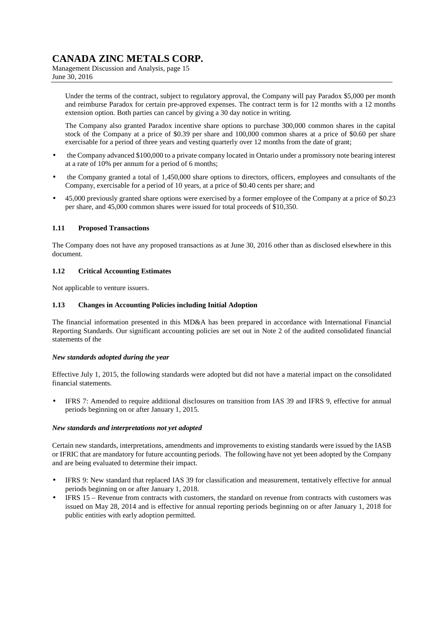Management Discussion and Analysis, page 15 June 30, 2016

Under the terms of the contract, subject to regulatory approval, the Company will pay Paradox \$5,000 per month and reimburse Paradox for certain pre-approved expenses. The contract term is for 12 months with a 12 months extension option. Both parties can cancel by giving a 30 day notice in writing.

The Company also granted Paradox incentive share options to purchase 300,000 common shares in the capital stock of the Company at a price of \$0.39 per share and 100,000 common shares at a price of \$0.60 per share exercisable for a period of three years and vesting quarterly over 12 months from the date of grant;

- the Company advanced \$100,000 to a private company located in Ontario under a promissory note bearing interest at a rate of 10% per annum for a period of 6 months;
- the Company granted a total of 1,450,000 share options to directors, officers, employees and consultants of the Company, exercisable for a period of 10 years, at a price of \$0.40 cents per share; and
- 45,000 previously granted share options were exercised by a former employee of the Company at a price of \$0.23 per share, and 45,000 common shares were issued for total proceeds of \$10,350.

### **1.11 Proposed Transactions**

The Company does not have any proposed transactions as at June 30, 2016 other than as disclosed elsewhere in this document.

### **1.12 Critical Accounting Estimates**

Not applicable to venture issuers.

### **1.13 Changes in Accounting Policies including Initial Adoption**

The financial information presented in this MD&A has been prepared in accordance with International Financial Reporting Standards. Our significant accounting policies are set out in Note 2 of the audited consolidated financial statements of the

### *New standards adopted during the year*

Effective July 1, 2015, the following standards were adopted but did not have a material impact on the consolidated financial statements.

• IFRS 7: Amended to require additional disclosures on transition from IAS 39 and IFRS 9, effective for annual periods beginning on or after January 1, 2015.

### *New standards and interpretations not yet adopted*

Certain new standards, interpretations, amendments and improvements to existing standards were issued by the IASB or IFRIC that are mandatory for future accounting periods. The following have not yet been adopted by the Company and are being evaluated to determine their impact.

- IFRS 9: New standard that replaced IAS 39 for classification and measurement, tentatively effective for annual periods beginning on or after January 1, 2018.
- IFRS 15 Revenue from contracts with customers, the standard on revenue from contracts with customers was issued on May 28, 2014 and is effective for annual reporting periods beginning on or after January 1, 2018 for public entities with early adoption permitted.